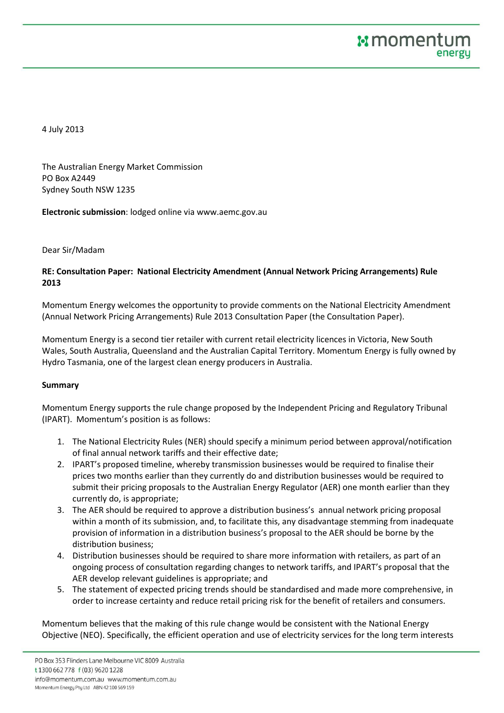4 July 2013

The Australian Energy Market Commission PO Box A2449 Sydney South NSW 1235

**Electronic submission**: lodged online via www.aemc.gov.au

### Dear Sir/Madam

# **RE: Consultation Paper: National Electricity Amendment (Annual Network Pricing Arrangements) Rule 2013**

Momentum Energy welcomes the opportunity to provide comments on the National Electricity Amendment (Annual Network Pricing Arrangements) Rule 2013 Consultation Paper (the Consultation Paper).

Momentum Energy is a second tier retailer with current retail electricity licences in Victoria, New South Wales, South Australia, Queensland and the Australian Capital Territory. Momentum Energy is fully owned by Hydro Tasmania, one of the largest clean energy producers in Australia.

### **Summary**

Momentum Energy supports the rule change proposed by the Independent Pricing and Regulatory Tribunal (IPART). Momentum's position is as follows:

- 1. The National Electricity Rules (NER) should specify a minimum period between approval/notification of final annual network tariffs and their effective date;
- 2. IPART's proposed timeline, whereby transmission businesses would be required to finalise their prices two months earlier than they currently do and distribution businesses would be required to submit their pricing proposals to the Australian Energy Regulator (AER) one month earlier than they currently do, is appropriate;
- 3. The AER should be required to approve a distribution business's annual network pricing proposal within a month of its submission, and, to facilitate this, any disadvantage stemming from inadequate provision of information in a distribution business's proposal to the AER should be borne by the distribution business;
- 4. Distribution businesses should be required to share more information with retailers, as part of an ongoing process of consultation regarding changes to network tariffs, and IPART's proposal that the AER develop relevant guidelines is appropriate; and
- 5. The statement of expected pricing trends should be standardised and made more comprehensive, in order to increase certainty and reduce retail pricing risk for the benefit of retailers and consumers.

Momentum believes that the making of this rule change would be consistent with the National Energy Objective (NEO). Specifically, the efficient operation and use of electricity services for the long term interests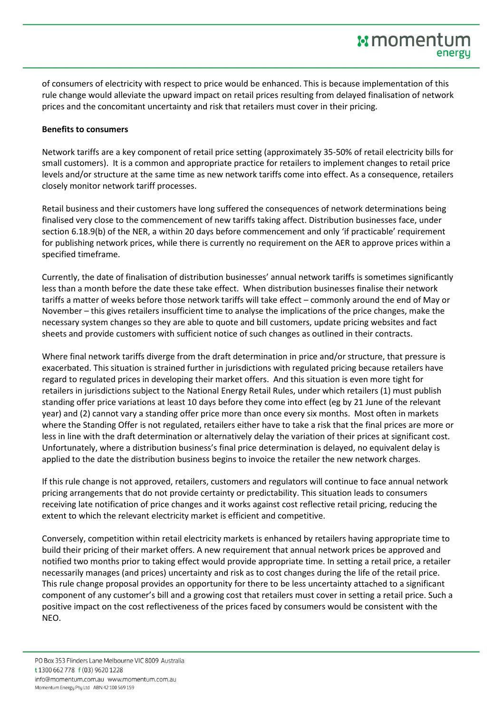of consumers of electricity with respect to price would be enhanced. This is because implementation of this rule change would alleviate the upward impact on retail prices resulting from delayed finalisation of network prices and the concomitant uncertainty and risk that retailers must cover in their pricing.

## **Benefits to consumers**

Network tariffs are a key component of retail price setting (approximately 35-50% of retail electricity bills for small customers). It is a common and appropriate practice for retailers to implement changes to retail price levels and/or structure at the same time as new network tariffs come into effect. As a consequence, retailers closely monitor network tariff processes.

Retail business and their customers have long suffered the consequences of network determinations being finalised very close to the commencement of new tariffs taking affect. Distribution businesses face, under section 6.18.9(b) of the NER, a within 20 days before commencement and only 'if practicable' requirement for publishing network prices, while there is currently no requirement on the AER to approve prices within a specified timeframe.

Currently, the date of finalisation of distribution businesses' annual network tariffs is sometimes significantly less than a month before the date these take effect. When distribution businesses finalise their network tariffs a matter of weeks before those network tariffs will take effect – commonly around the end of May or November – this gives retailers insufficient time to analyse the implications of the price changes, make the necessary system changes so they are able to quote and bill customers, update pricing websites and fact sheets and provide customers with sufficient notice of such changes as outlined in their contracts.

Where final network tariffs diverge from the draft determination in price and/or structure, that pressure is exacerbated. This situation is strained further in jurisdictions with regulated pricing because retailers have regard to regulated prices in developing their market offers. And this situation is even more tight for retailers in jurisdictions subject to the National Energy Retail Rules, under which retailers (1) must publish standing offer price variations at least 10 days before they come into effect (eg by 21 June of the relevant year) and (2) cannot vary a standing offer price more than once every six months. Most often in markets where the Standing Offer is not regulated, retailers either have to take a risk that the final prices are more or less in line with the draft determination or alternatively delay the variation of their prices at significant cost. Unfortunately, where a distribution business's final price determination is delayed, no equivalent delay is applied to the date the distribution business begins to invoice the retailer the new network charges.

If this rule change is not approved, retailers, customers and regulators will continue to face annual network pricing arrangements that do not provide certainty or predictability. This situation leads to consumers receiving late notification of price changes and it works against cost reflective retail pricing, reducing the extent to which the relevant electricity market is efficient and competitive.

Conversely, competition within retail electricity markets is enhanced by retailers having appropriate time to build their pricing of their market offers. A new requirement that annual network prices be approved and notified two months prior to taking effect would provide appropriate time. In setting a retail price, a retailer necessarily manages (and prices) uncertainty and risk as to cost changes during the life of the retail price. This rule change proposal provides an opportunity for there to be less uncertainty attached to a significant component of any customer's bill and a growing cost that retailers must cover in setting a retail price. Such a positive impact on the cost reflectiveness of the prices faced by consumers would be consistent with the NEO.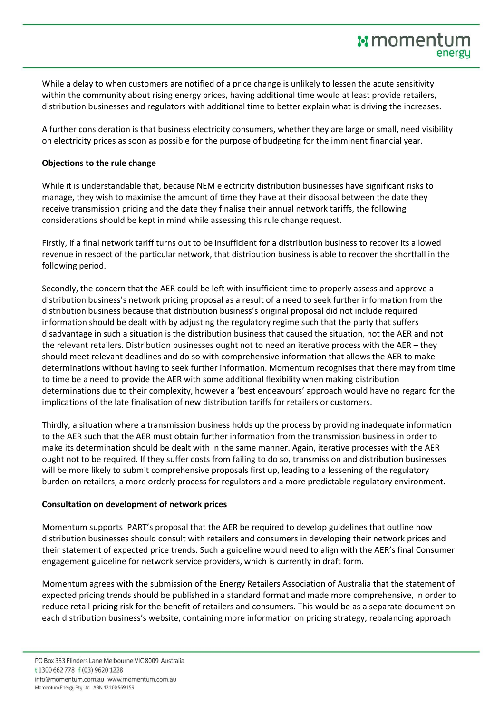While a delay to when customers are notified of a price change is unlikely to lessen the acute sensitivity within the community about rising energy prices, having additional time would at least provide retailers, distribution businesses and regulators with additional time to better explain what is driving the increases.

A further consideration is that business electricity consumers, whether they are large or small, need visibility on electricity prices as soon as possible for the purpose of budgeting for the imminent financial year.

### **Objections to the rule change**

While it is understandable that, because NEM electricity distribution businesses have significant risks to manage, they wish to maximise the amount of time they have at their disposal between the date they receive transmission pricing and the date they finalise their annual network tariffs, the following considerations should be kept in mind while assessing this rule change request.

Firstly, if a final network tariff turns out to be insufficient for a distribution business to recover its allowed revenue in respect of the particular network, that distribution business is able to recover the shortfall in the following period.

Secondly, the concern that the AER could be left with insufficient time to properly assess and approve a distribution business's network pricing proposal as a result of a need to seek further information from the distribution business because that distribution business's original proposal did not include required information should be dealt with by adjusting the regulatory regime such that the party that suffers disadvantage in such a situation is the distribution business that caused the situation, not the AER and not the relevant retailers. Distribution businesses ought not to need an iterative process with the AER – they should meet relevant deadlines and do so with comprehensive information that allows the AER to make determinations without having to seek further information. Momentum recognises that there may from time to time be a need to provide the AER with some additional flexibility when making distribution determinations due to their complexity, however a 'best endeavours' approach would have no regard for the implications of the late finalisation of new distribution tariffs for retailers or customers.

Thirdly, a situation where a transmission business holds up the process by providing inadequate information to the AER such that the AER must obtain further information from the transmission business in order to make its determination should be dealt with in the same manner. Again, iterative processes with the AER ought not to be required. If they suffer costs from failing to do so, transmission and distribution businesses will be more likely to submit comprehensive proposals first up, leading to a lessening of the regulatory burden on retailers, a more orderly process for regulators and a more predictable regulatory environment.

# **Consultation on development of network prices**

Momentum supports IPART's proposal that the AER be required to develop guidelines that outline how distribution businesses should consult with retailers and consumers in developing their network prices and their statement of expected price trends. Such a guideline would need to align with the AER's final Consumer engagement guideline for network service providers, which is currently in draft form.

Momentum agrees with the submission of the Energy Retailers Association of Australia that the statement of expected pricing trends should be published in a standard format and made more comprehensive, in order to reduce retail pricing risk for the benefit of retailers and consumers. This would be as a separate document on each distribution business's website, containing more information on pricing strategy, rebalancing approach